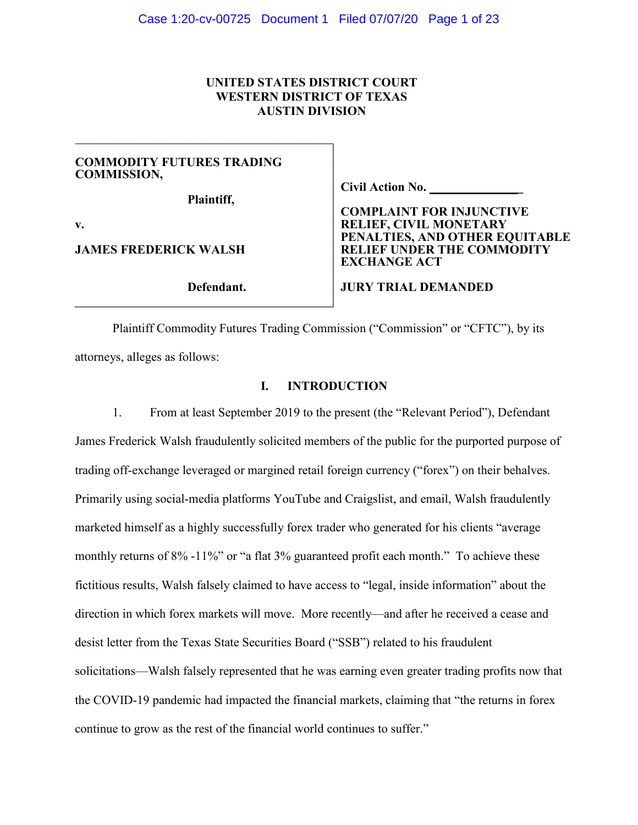# **UNITED STATES DISTRICT COURT WESTERN DISTRICT OF TEXAS AUSTIN DIVISION**

# **COMMODITY FUTURES TRADING COMMISSION,**

**Plaintiff,**

**v.**

**JAMES FREDERICK WALSH**

**Defendant.**

**Civil Action No. \_** 

**COMPLAINT FOR INJUNCTIVE RELIEF, CIVIL MONETARY PENALTIES, AND OTHER EQUITABLE RELIEF UNDER THE COMMODITY EXCHANGE ACT**

**JURY TRIAL DEMANDED**

Plaintiff Commodity Futures Trading Commission ("Commission" or "CFTC"), by its attorneys, alleges as follows:

# **I. INTRODUCTION**

1. From at least September 2019 to the present (the "Relevant Period"), Defendant James Frederick Walsh fraudulently solicited members of the public for the purported purpose of trading off-exchange leveraged or margined retail foreign currency ("forex") on their behalves. Primarily using social-media platforms YouTube and Craigslist, and email, Walsh fraudulently marketed himself as a highly successfully forex trader who generated for his clients "average monthly returns of 8% -11%" or "a flat 3% guaranteed profit each month." To achieve these fictitious results, Walsh falsely claimed to have access to "legal, inside information" about the direction in which forex markets will move. More recently—and after he received a cease and desist letter from the Texas State Securities Board ("SSB") related to his fraudulent solicitations—Walsh falsely represented that he was earning even greater trading profits now that the COVID-19 pandemic had impacted the financial markets, claiming that "the returns in forex continue to grow as the rest of the financial world continues to suffer."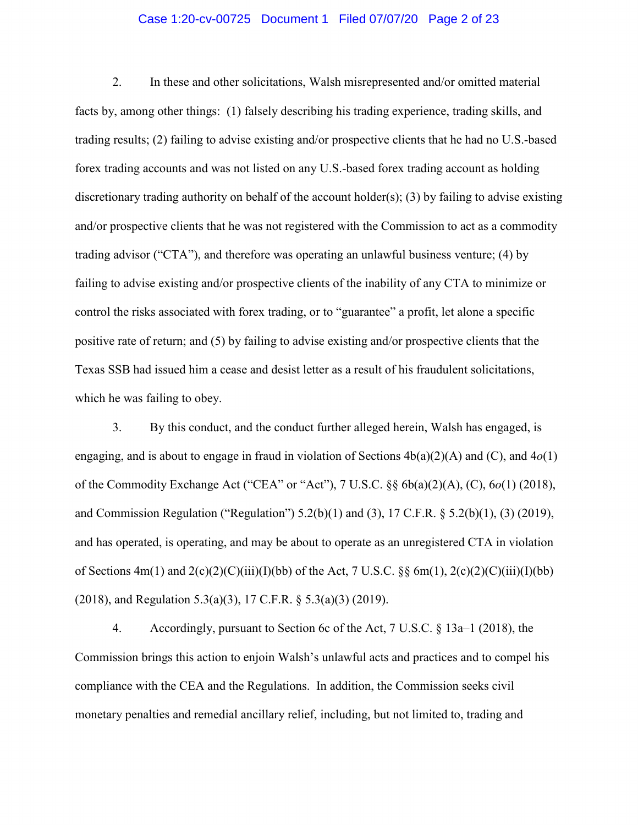## Case 1:20-cv-00725 Document 1 Filed 07/07/20 Page 2 of 23

2. In these and other solicitations, Walsh misrepresented and/or omitted material facts by, among other things: (1) falsely describing his trading experience, trading skills, and trading results; (2) failing to advise existing and/or prospective clients that he had no U.S.-based forex trading accounts and was not listed on any U.S.-based forex trading account as holding discretionary trading authority on behalf of the account holder(s); (3) by failing to advise existing and/or prospective clients that he was not registered with the Commission to act as a commodity trading advisor ("CTA"), and therefore was operating an unlawful business venture; (4) by failing to advise existing and/or prospective clients of the inability of any CTA to minimize or control the risks associated with forex trading, or to "guarantee" a profit, let alone a specific positive rate of return; and (5) by failing to advise existing and/or prospective clients that the Texas SSB had issued him a cease and desist letter as a result of his fraudulent solicitations, which he was failing to obey.

3. By this conduct, and the conduct further alleged herein, Walsh has engaged, is engaging, and is about to engage in fraud in violation of Sections 4b(a)(2)(A) and (C), and 4*o*(1) of the Commodity Exchange Act ("CEA" or "Act"), 7 U.S.C. §§ 6b(a)(2)(A), (C), 6*o*(1) (2018), and Commission Regulation ("Regulation") 5.2(b)(1) and (3), 17 C.F.R. § 5.2(b)(1), (3) (2019), and has operated, is operating, and may be about to operate as an unregistered CTA in violation of Sections  $4m(1)$  and  $2(c)(2)(C)(iii)(I)(bb)$  of the Act, 7 U.S.C.  $\S$ § 6m(1),  $2(c)(2)(C)(iii)(I)(bb)$ (2018), and Regulation 5.3(a)(3), 17 C.F.R. § 5.3(a)(3) (2019).

4. Accordingly, pursuant to Section 6c of the Act, 7 U.S.C. § 13a–1 (2018), the Commission brings this action to enjoin Walsh's unlawful acts and practices and to compel his compliance with the CEA and the Regulations. In addition, the Commission seeks civil monetary penalties and remedial ancillary relief, including, but not limited to, trading and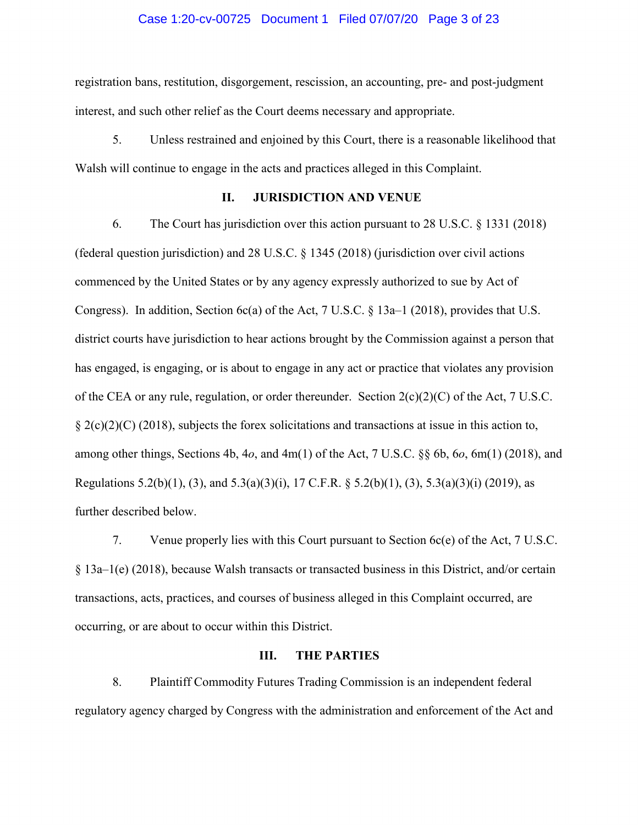#### Case 1:20-cv-00725 Document 1 Filed 07/07/20 Page 3 of 23

registration bans, restitution, disgorgement, rescission, an accounting, pre- and post-judgment interest, and such other relief as the Court deems necessary and appropriate.

5. Unless restrained and enjoined by this Court, there is a reasonable likelihood that Walsh will continue to engage in the acts and practices alleged in this Complaint.

# **II. JURISDICTION AND VENUE**

6. The Court has jurisdiction over this action pursuant to 28 U.S.C. § 1331 (2018) (federal question jurisdiction) and 28 U.S.C.  $\S$  1345 (2018) (jurisdiction over civil actions commenced by the United States or by any agency expressly authorized to sue by Act of Congress). In addition, Section 6c(a) of the Act,  $7 \text{ U.S. C. }$  § 13a–1 (2018), provides that U.S. district courts have jurisdiction to hear actions brought by the Commission against a person that has engaged, is engaging, or is about to engage in any act or practice that violates any provision of the CEA or any rule, regulation, or order thereunder. Section  $2(c)(2)(C)$  of the Act, 7 U.S.C.  $\S 2(c)(2)(C)$  (2018), subjects the forex solicitations and transactions at issue in this action to, among other things, Sections 4b, 4*o*, and 4m(1) of the Act, 7 U.S.C. §§ 6b, 6*o*, 6m(1) (2018), and Regulations 5.2(b)(1), (3), and 5.3(a)(3)(i), 17 C.F.R. § 5.2(b)(1), (3), 5.3(a)(3)(i) (2019), as further described below.

7. Venue properly lies with this Court pursuant to Section 6c(e) of the Act, 7 U.S.C. § 13a–1(e) (2018), because Walsh transacts or transacted business in this District, and/or certain transactions, acts, practices, and courses of business alleged in this Complaint occurred, are occurring, or are about to occur within this District.

# **III. THE PARTIES**

8. Plaintiff Commodity Futures Trading Commission is an independent federal regulatory agency charged by Congress with the administration and enforcement of the Act and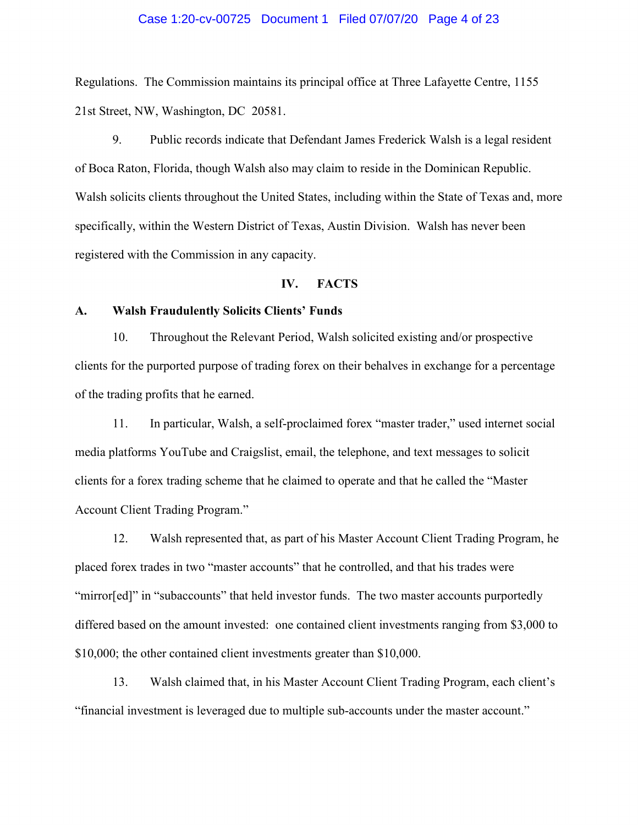#### Case 1:20-cv-00725 Document 1 Filed 07/07/20 Page 4 of 23

Regulations. The Commission maintains its principal office at Three Lafayette Centre, 1155 21st Street, NW, Washington, DC 20581.

9. Public records indicate that Defendant James Frederick Walsh is a legal resident of Boca Raton, Florida, though Walsh also may claim to reside in the Dominican Republic. Walsh solicits clients throughout the United States, including within the State of Texas and, more specifically, within the Western District of Texas, Austin Division. Walsh has never been registered with the Commission in any capacity.

#### **IV. FACTS**

# **A. Walsh Fraudulently Solicits Clients' Funds**

10. Throughout the Relevant Period, Walsh solicited existing and/or prospective clients for the purported purpose of trading forex on their behalves in exchange for a percentage of the trading profits that he earned.

11. In particular, Walsh, a self-proclaimed forex "master trader," used internet social media platforms YouTube and Craigslist, email, the telephone, and text messages to solicit clients for a forex trading scheme that he claimed to operate and that he called the "Master Account Client Trading Program."

12. Walsh represented that, as part of his Master Account Client Trading Program, he placed forex trades in two "master accounts" that he controlled, and that his trades were "mirror[ed]" in "subaccounts" that held investor funds. The two master accounts purportedly differed based on the amount invested: one contained client investments ranging from \$3,000 to \$10,000; the other contained client investments greater than \$10,000.

13. Walsh claimed that, in his Master Account Client Trading Program, each client's "financial investment is leveraged due to multiple sub-accounts under the master account."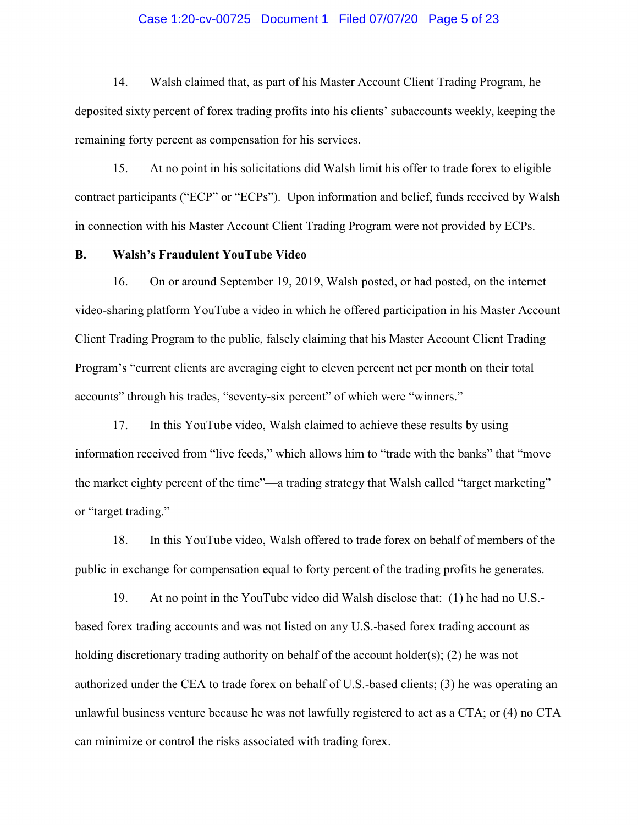## Case 1:20-cv-00725 Document 1 Filed 07/07/20 Page 5 of 23

14. Walsh claimed that, as part of his Master Account Client Trading Program, he deposited sixty percent of forex trading profits into his clients' subaccounts weekly, keeping the remaining forty percent as compensation for his services.

15. At no point in his solicitations did Walsh limit his offer to trade forex to eligible contract participants ("ECP" or "ECPs"). Upon information and belief, funds received by Walsh in connection with his Master Account Client Trading Program were not provided by ECPs.

# **B. Walsh's Fraudulent YouTube Video**

16. On or around September 19, 2019, Walsh posted, or had posted, on the internet video-sharing platform YouTube a video in which he offered participation in his Master Account Client Trading Program to the public, falsely claiming that his Master Account Client Trading Program's "current clients are averaging eight to eleven percent net per month on their total accounts" through his trades, "seventy-six percent" of which were "winners."

17. In this YouTube video, Walsh claimed to achieve these results by using information received from "live feeds," which allows him to "trade with the banks" that "move the market eighty percent of the time"—a trading strategy that Walsh called "target marketing" or "target trading."

18. In this YouTube video, Walsh offered to trade forex on behalf of members of the public in exchange for compensation equal to forty percent of the trading profits he generates.

19. At no point in the YouTube video did Walsh disclose that: (1) he had no U.S. based forex trading accounts and was not listed on any U.S.-based forex trading account as holding discretionary trading authority on behalf of the account holder(s); (2) he was not authorized under the CEA to trade forex on behalf of U.S.-based clients; (3) he was operating an unlawful business venture because he was not lawfully registered to act as a CTA; or (4) no CTA can minimize or control the risks associated with trading forex.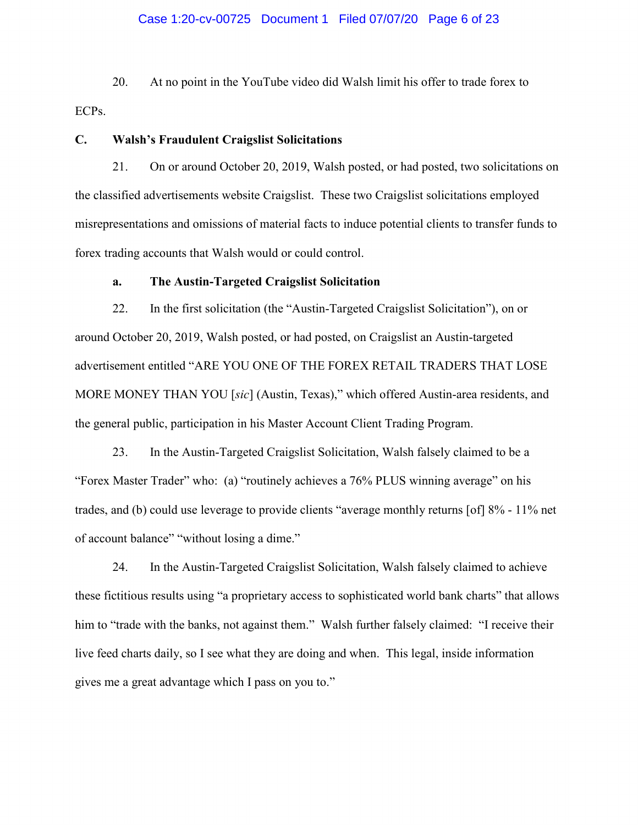## Case 1:20-cv-00725 Document 1 Filed 07/07/20 Page 6 of 23

20. At no point in the YouTube video did Walsh limit his offer to trade forex to ECPs.

# **C. Walsh's Fraudulent Craigslist Solicitations**

21. On or around October 20, 2019, Walsh posted, or had posted, two solicitations on the classified advertisements website Craigslist. These two Craigslist solicitations employed misrepresentations and omissions of material facts to induce potential clients to transfer funds to forex trading accounts that Walsh would or could control.

# **a. The Austin-Targeted Craigslist Solicitation**

22. In the first solicitation (the "Austin-Targeted Craigslist Solicitation"), on or around October 20, 2019, Walsh posted, or had posted, on Craigslist an Austin-targeted advertisement entitled "ARE YOU ONE OF THE FOREX RETAIL TRADERS THAT LOSE MORE MONEY THAN YOU [*sic*] (Austin, Texas)," which offered Austin-area residents, and the general public, participation in his Master Account Client Trading Program.

23. In the Austin-Targeted Craigslist Solicitation, Walsh falsely claimed to be a "Forex Master Trader" who: (a) "routinely achieves a 76% PLUS winning average" on his trades, and (b) could use leverage to provide clients "average monthly returns [of] 8% - 11% net of account balance" "without losing a dime."

24. In the Austin-Targeted Craigslist Solicitation, Walsh falsely claimed to achieve these fictitious results using "a proprietary access to sophisticated world bank charts" that allows him to "trade with the banks, not against them." Walsh further falsely claimed: "I receive their live feed charts daily, so I see what they are doing and when. This legal, inside information gives me a great advantage which I pass on you to."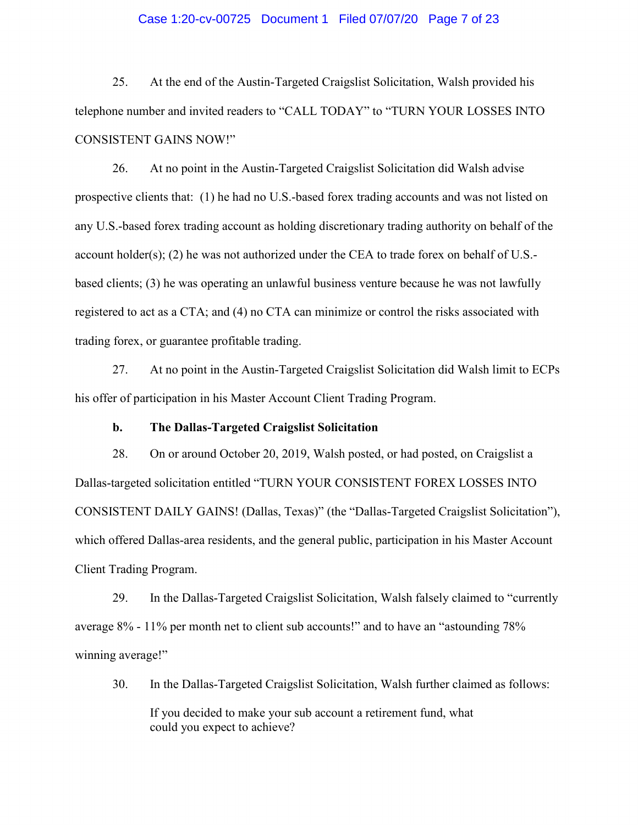## Case 1:20-cv-00725 Document 1 Filed 07/07/20 Page 7 of 23

25. At the end of the Austin-Targeted Craigslist Solicitation, Walsh provided his telephone number and invited readers to "CALL TODAY" to "TURN YOUR LOSSES INTO CONSISTENT GAINS NOW!"

26. At no point in the Austin-Targeted Craigslist Solicitation did Walsh advise prospective clients that: (1) he had no U.S.-based forex trading accounts and was not listed on any U.S.-based forex trading account as holding discretionary trading authority on behalf of the account holder(s); (2) he was not authorized under the CEA to trade forex on behalf of U.S. based clients; (3) he was operating an unlawful business venture because he was not lawfully registered to act as a CTA; and (4) no CTA can minimize or control the risks associated with trading forex, or guarantee profitable trading.

27. At no point in the Austin-Targeted Craigslist Solicitation did Walsh limit to ECPs his offer of participation in his Master Account Client Trading Program.

## **b. The Dallas-Targeted Craigslist Solicitation**

28. On or around October 20, 2019, Walsh posted, or had posted, on Craigslist a Dallas-targeted solicitation entitled "TURN YOUR CONSISTENT FOREX LOSSES INTO CONSISTENT DAILY GAINS! (Dallas, Texas)" (the "Dallas-Targeted Craigslist Solicitation"), which offered Dallas-area residents, and the general public, participation in his Master Account Client Trading Program.

29. In the Dallas-Targeted Craigslist Solicitation, Walsh falsely claimed to "currently average 8% - 11% per month net to client sub accounts!" and to have an "astounding 78% winning average!"

30. In the Dallas-Targeted Craigslist Solicitation, Walsh further claimed as follows:

If you decided to make your sub account a retirement fund, what could you expect to achieve?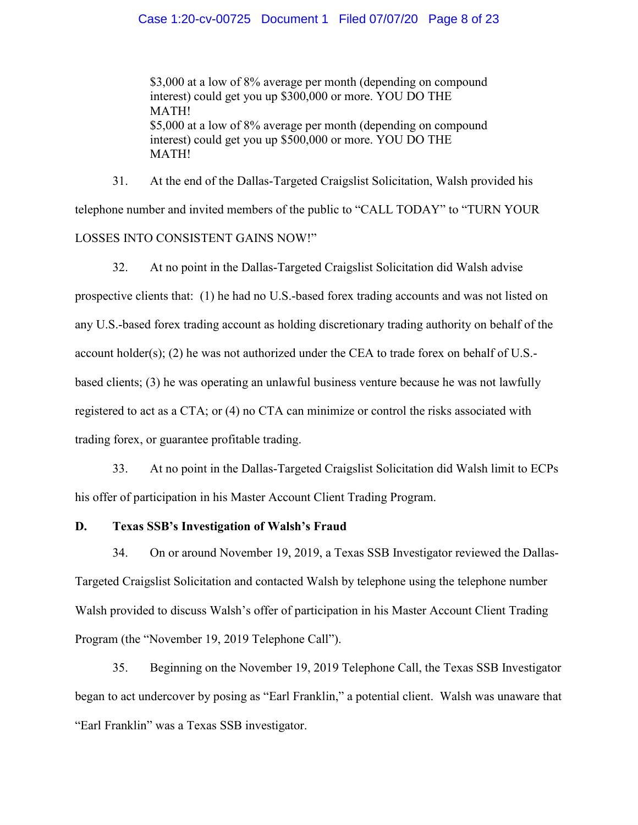## Case 1:20-cv-00725 Document 1 Filed 07/07/20 Page 8 of 23

\$3,000 at a low of 8% average per month (depending on compound interest) could get you up \$300,000 or more. YOU DO THE MATH! \$5,000 at a low of 8% average per month (depending on compound interest) could get you up \$500,000 or more. YOU DO THE MATH!

31. At the end of the Dallas-Targeted Craigslist Solicitation, Walsh provided his telephone number and invited members of the public to "CALL TODAY" to "TURN YOUR LOSSES INTO CONSISTENT GAINS NOW!"

32. At no point in the Dallas-Targeted Craigslist Solicitation did Walsh advise prospective clients that: (1) he had no U.S.-based forex trading accounts and was not listed on any U.S.-based forex trading account as holding discretionary trading authority on behalf of the account holder(s); (2) he was not authorized under the CEA to trade forex on behalf of U.S.based clients; (3) he was operating an unlawful business venture because he was not lawfully registered to act as a CTA; or (4) no CTA can minimize or control the risks associated with trading forex, or guarantee profitable trading.

33. At no point in the Dallas-Targeted Craigslist Solicitation did Walsh limit to ECPs his offer of participation in his Master Account Client Trading Program.

# **D. Texas SSB's Investigation of Walsh's Fraud**

34. On or around November 19, 2019, a Texas SSB Investigator reviewed the Dallas-Targeted Craigslist Solicitation and contacted Walsh by telephone using the telephone number Walsh provided to discuss Walsh's offer of participation in his Master Account Client Trading Program (the "November 19, 2019 Telephone Call").

35. Beginning on the November 19, 2019 Telephone Call, the Texas SSB Investigator began to act undercover by posing as "Earl Franklin," a potential client. Walsh was unaware that "Earl Franklin" was a Texas SSB investigator.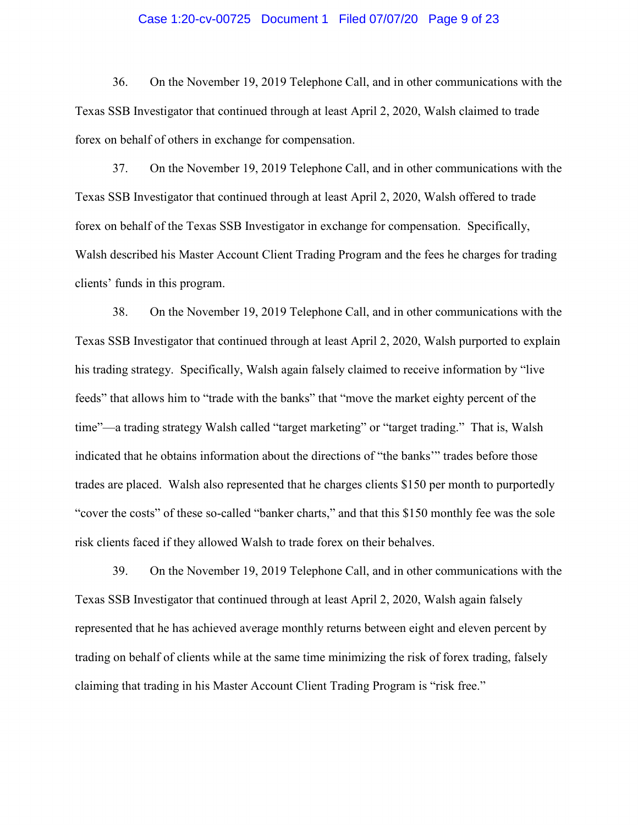## Case 1:20-cv-00725 Document 1 Filed 07/07/20 Page 9 of 23

36. On the November 19, 2019 Telephone Call, and in other communications with the Texas SSB Investigator that continued through at least April 2, 2020, Walsh claimed to trade forex on behalf of others in exchange for compensation.

37. On the November 19, 2019 Telephone Call, and in other communications with the Texas SSB Investigator that continued through at least April 2, 2020, Walsh offered to trade forex on behalf of the Texas SSB Investigator in exchange for compensation. Specifically, Walsh described his Master Account Client Trading Program and the fees he charges for trading clients' funds in this program.

38. On the November 19, 2019 Telephone Call, and in other communications with the Texas SSB Investigator that continued through at least April 2, 2020, Walsh purported to explain his trading strategy. Specifically, Walsh again falsely claimed to receive information by "live feeds" that allows him to "trade with the banks" that "move the market eighty percent of the time"—a trading strategy Walsh called "target marketing" or "target trading." That is, Walsh indicated that he obtains information about the directions of "the banks'" trades before those trades are placed. Walsh also represented that he charges clients \$150 per month to purportedly "cover the costs" of these so-called "banker charts," and that this \$150 monthly fee was the sole risk clients faced if they allowed Walsh to trade forex on their behalves.

39. On the November 19, 2019 Telephone Call, and in other communications with the Texas SSB Investigator that continued through at least April 2, 2020, Walsh again falsely represented that he has achieved average monthly returns between eight and eleven percent by trading on behalf of clients while at the same time minimizing the risk of forex trading, falsely claiming that trading in his Master Account Client Trading Program is "risk free."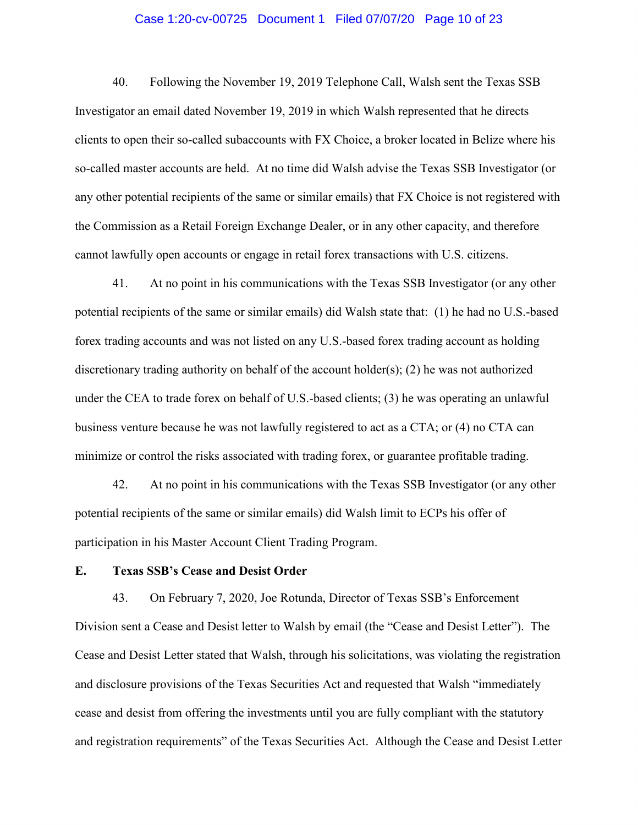# Case 1:20-cv-00725 Document 1 Filed 07/07/20 Page 10 of 23

40. Following the November 19, 2019 Telephone Call, Walsh sent the Texas SSB Investigator an email dated November 19, 2019 in which Walsh represented that he directs clients to open their so-called subaccounts with FX Choice, a broker located in Belize where his so-called master accounts are held. At no time did Walsh advise the Texas SSB Investigator (or any other potential recipients of the same or similar emails) that FX Choice is not registered with the Commission as a Retail Foreign Exchange Dealer, or in any other capacity, and therefore cannot lawfully open accounts or engage in retail forex transactions with U.S. citizens.

41. At no point in his communications with the Texas SSB Investigator (or any other potential recipients of the same or similar emails) did Walsh state that: (1) he had no U.S.-based forex trading accounts and was not listed on any U.S.-based forex trading account as holding discretionary trading authority on behalf of the account holder(s); (2) he was not authorized under the CEA to trade forex on behalf of U.S.-based clients; (3) he was operating an unlawful business venture because he was not lawfully registered to act as a CTA; or (4) no CTA can minimize or control the risks associated with trading forex, or guarantee profitable trading.

42. At no point in his communications with the Texas SSB Investigator (or any other potential recipients of the same or similar emails) did Walsh limit to ECPs his offer of participation in his Master Account Client Trading Program.

# **E. Texas SSB's Cease and Desist Order**

43. On February 7, 2020, Joe Rotunda, Director of Texas SSB's Enforcement Division sent a Cease and Desist letter to Walsh by email (the "Cease and Desist Letter"). The Cease and Desist Letter stated that Walsh, through his solicitations, was violating the registration and disclosure provisions of the Texas Securities Act and requested that Walsh "immediately cease and desist from offering the investments until you are fully compliant with the statutory and registration requirements" of the Texas Securities Act. Although the Cease and Desist Letter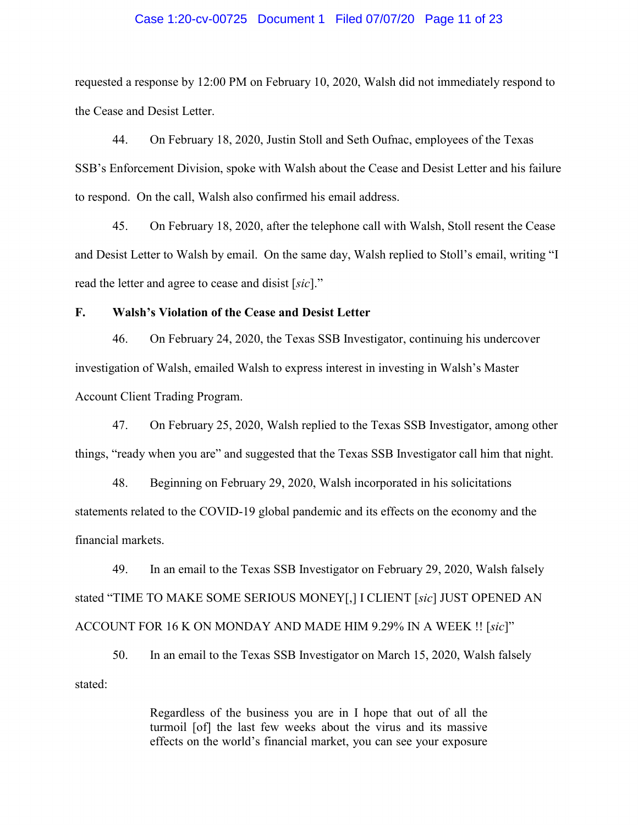## Case 1:20-cv-00725 Document 1 Filed 07/07/20 Page 11 of 23

requested a response by 12:00 PM on February 10, 2020, Walsh did not immediately respond to the Cease and Desist Letter.

44. On February 18, 2020, Justin Stoll and Seth Oufnac, employees of the Texas SSB's Enforcement Division, spoke with Walsh about the Cease and Desist Letter and his failure to respond. On the call, Walsh also confirmed his email address.

45. On February 18, 2020, after the telephone call with Walsh, Stoll resent the Cease and Desist Letter to Walsh by email. On the same day, Walsh replied to Stoll's email, writing "I read the letter and agree to cease and disist [*sic*]."

# **F. Walsh's Violation of the Cease and Desist Letter**

46. On February 24, 2020, the Texas SSB Investigator, continuing his undercover investigation of Walsh, emailed Walsh to express interest in investing in Walsh's Master Account Client Trading Program.

47. On February 25, 2020, Walsh replied to the Texas SSB Investigator, among other things, "ready when you are" and suggested that the Texas SSB Investigator call him that night.

48. Beginning on February 29, 2020, Walsh incorporated in his solicitations statements related to the COVID-19 global pandemic and its effects on the economy and the financial markets.

49. In an email to the Texas SSB Investigator on February 29, 2020, Walsh falsely stated "TIME TO MAKE SOME SERIOUS MONEY[,] I CLIENT [*sic*] JUST OPENED AN ACCOUNT FOR 16 K ON MONDAY AND MADE HIM 9.29% IN A WEEK !! [*sic*]"

50. In an email to the Texas SSB Investigator on March 15, 2020, Walsh falsely stated:

> Regardless of the business you are in I hope that out of all the turmoil [of] the last few weeks about the virus and its massive effects on the world's financial market, you can see your exposure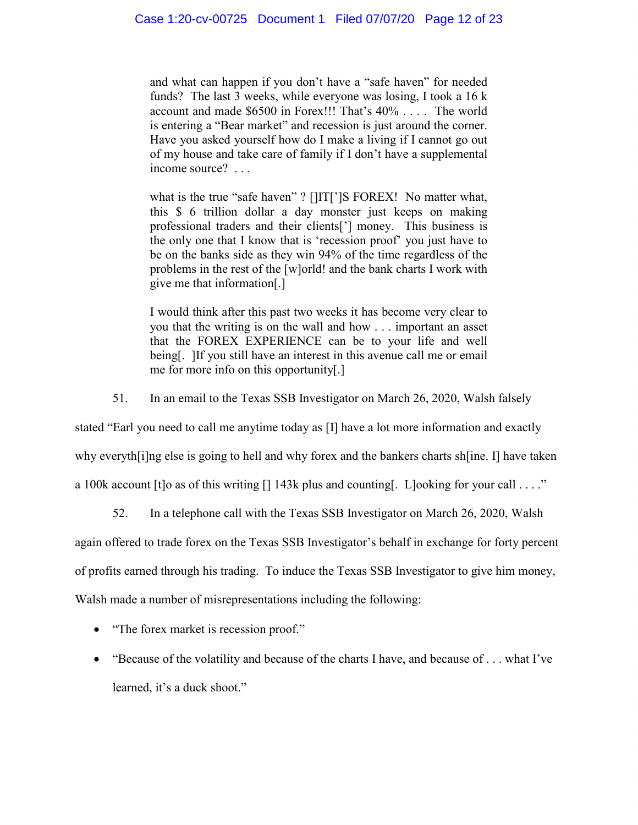and what can happen if you don't have a "safe haven" for needed funds? The last 3 weeks, while everyone was losing, I took a 16 k account and made \$6500 in Forex!!! That's 40% . . . . The world is entering a "Bear market" and recession is just around the corner. Have you asked yourself how do I make a living if I cannot go out of my house and take care of family if I don't have a supplemental income source? . . .

what is the true "safe haven" ? []IT[']S FOREX! No matter what, this \$ 6 trillion dollar a day monster just keeps on making professional traders and their clients['] money. This business is the only one that I know that is 'recession proof' you just have to be on the banks side as they win 94% of the time regardless of the problems in the rest of the [w]orld! and the bank charts I work with give me that information[.]

I would think after this past two weeks it has become very clear to you that the writing is on the wall and how . . . important an asset that the FOREX EXPERIENCE can be to your life and well being[. ]If you still have an interest in this avenue call me or email me for more info on this opportunity[.]

51. In an email to the Texas SSB Investigator on March 26, 2020, Walsh falsely

stated "Earl you need to call me anytime today as [I] have a lot more information and exactly

why everyth[i]ng else is going to hell and why forex and the bankers charts sh[ine. I] have taken

a 100k account [t]o as of this writing [] 143k plus and counting[. L]ooking for your call . . . ."

52. In a telephone call with the Texas SSB Investigator on March 26, 2020, Walsh

again offered to trade forex on the Texas SSB Investigator's behalf in exchange for forty percent

of profits earned through his trading. To induce the Texas SSB Investigator to give him money,

Walsh made a number of misrepresentations including the following:

- "The forex market is recession proof."
- "Because of the volatility and because of the charts I have, and because of . . . what I've learned, it's a duck shoot."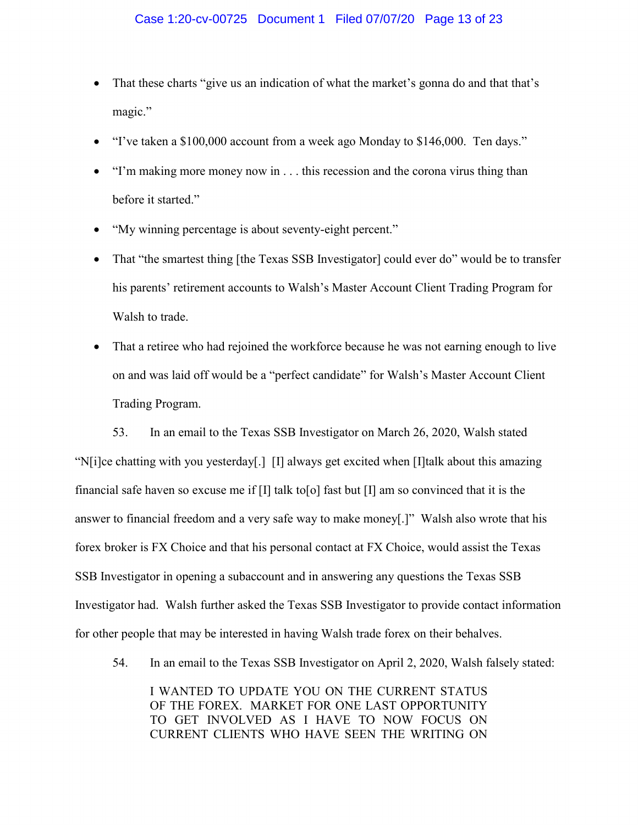- That these charts "give us an indication of what the market's gonna do and that that's magic."
- "I've taken a \$100,000 account from a week ago Monday to \$146,000. Ten days."
- "I'm making more money now in . . . this recession and the corona virus thing than before it started."
- "My winning percentage is about seventy-eight percent."
- That "the smartest thing [the Texas SSB Investigator] could ever do" would be to transfer his parents' retirement accounts to Walsh's Master Account Client Trading Program for Walsh to trade.
- That a retiree who had rejoined the workforce because he was not earning enough to live on and was laid off would be a "perfect candidate" for Walsh's Master Account Client Trading Program.

53. In an email to the Texas SSB Investigator on March 26, 2020, Walsh stated "N[i]ce chatting with you yesterday[.] [I] always get excited when [I]talk about this amazing financial safe haven so excuse me if  $[I]$  talk to [o] fast but  $[I]$  am so convinced that it is the answer to financial freedom and a very safe way to make money[.]" Walsh also wrote that his forex broker is FX Choice and that his personal contact at FX Choice, would assist the Texas SSB Investigator in opening a subaccount and in answering any questions the Texas SSB Investigator had. Walsh further asked the Texas SSB Investigator to provide contact information for other people that may be interested in having Walsh trade forex on their behalves.

54. In an email to the Texas SSB Investigator on April 2, 2020, Walsh falsely stated:

I WANTED TO UPDATE YOU ON THE CURRENT STATUS OF THE FOREX. MARKET FOR ONE LAST OPPORTUNITY TO GET INVOLVED AS I HAVE TO NOW FOCUS ON CURRENT CLIENTS WHO HAVE SEEN THE WRITING ON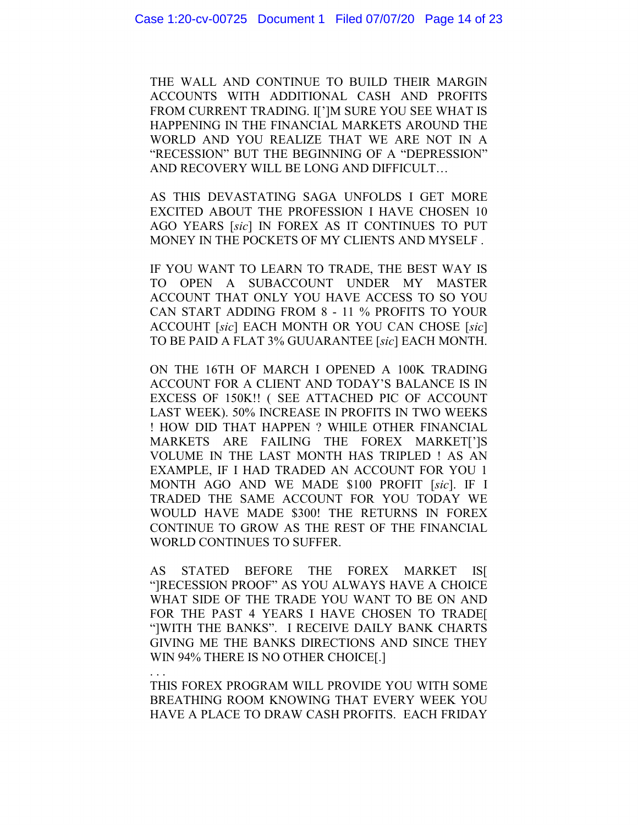THE WALL AND CONTINUE TO BUILD THEIR MARGIN ACCOUNTS WITH ADDITIONAL CASH AND PROFITS FROM CURRENT TRADING. I[']M SURE YOU SEE WHAT IS HAPPENING IN THE FINANCIAL MARKETS AROUND THE WORLD AND YOU REALIZE THAT WE ARE NOT IN A "RECESSION" BUT THE BEGINNING OF A "DEPRESSION" AND RECOVERY WILL BE LONG AND DIFFICULT…

AS THIS DEVASTATING SAGA UNFOLDS I GET MORE EXCITED ABOUT THE PROFESSION I HAVE CHOSEN 10 AGO YEARS [*sic*] IN FOREX AS IT CONTINUES TO PUT MONEY IN THE POCKETS OF MY CLIENTS AND MYSELF .

IF YOU WANT TO LEARN TO TRADE, THE BEST WAY IS TO OPEN A SUBACCOUNT UNDER MY MASTER ACCOUNT THAT ONLY YOU HAVE ACCESS TO SO YOU CAN START ADDING FROM 8 - 11 % PROFITS TO YOUR ACCOUHT [*sic*] EACH MONTH OR YOU CAN CHOSE [*sic*] TO BE PAID A FLAT 3% GUUARANTEE [*sic*] EACH MONTH.

ON THE 16TH OF MARCH I OPENED A 100K TRADING ACCOUNT FOR A CLIENT AND TODAY'S BALANCE IS IN EXCESS OF 150K!! ( SEE ATTACHED PIC OF ACCOUNT LAST WEEK). 50% INCREASE IN PROFITS IN TWO WEEKS ! HOW DID THAT HAPPEN ? WHILE OTHER FINANCIAL MARKETS ARE FAILING THE FOREX MARKET[']S VOLUME IN THE LAST MONTH HAS TRIPLED ! AS AN EXAMPLE, IF I HAD TRADED AN ACCOUNT FOR YOU 1 MONTH AGO AND WE MADE \$100 PROFIT [*sic*]. IF I TRADED THE SAME ACCOUNT FOR YOU TODAY WE WOULD HAVE MADE \$300! THE RETURNS IN FOREX CONTINUE TO GROW AS THE REST OF THE FINANCIAL WORLD CONTINUES TO SUFFER.

AS STATED BEFORE THE FOREX MARKET IS[ "]RECESSION PROOF" AS YOU ALWAYS HAVE A CHOICE WHAT SIDE OF THE TRADE YOU WANT TO BE ON AND FOR THE PAST 4 YEARS I HAVE CHOSEN TO TRADE[ "]WITH THE BANKS". I RECEIVE DAILY BANK CHARTS GIVING ME THE BANKS DIRECTIONS AND SINCE THEY WIN 94% THERE IS NO OTHER CHOICE[.]

. . . THIS FOREX PROGRAM WILL PROVIDE YOU WITH SOME BREATHING ROOM KNOWING THAT EVERY WEEK YOU HAVE A PLACE TO DRAW CASH PROFITS. EACH FRIDAY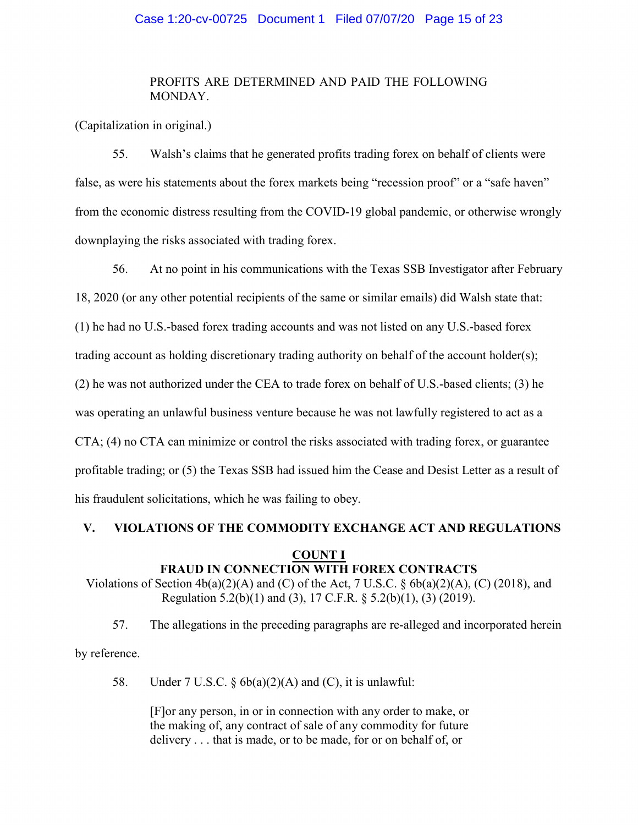# Case 1:20-cv-00725 Document 1 Filed 07/07/20 Page 15 of 23

# PROFITS ARE DETERMINED AND PAID THE FOLLOWING MONDAY.

(Capitalization in original.)

55. Walsh's claims that he generated profits trading forex on behalf of clients were false, as were his statements about the forex markets being "recession proof" or a "safe haven" from the economic distress resulting from the COVID-19 global pandemic, or otherwise wrongly downplaying the risks associated with trading forex.

56. At no point in his communications with the Texas SSB Investigator after February 18, 2020 (or any other potential recipients of the same or similar emails) did Walsh state that: (1) he had no U.S.-based forex trading accounts and was not listed on any U.S.-based forex trading account as holding discretionary trading authority on behalf of the account holder(s); (2) he was not authorized under the CEA to trade forex on behalf of U.S.-based clients; (3) he was operating an unlawful business venture because he was not lawfully registered to act as a CTA; (4) no CTA can minimize or control the risks associated with trading forex, or guarantee profitable trading; or (5) the Texas SSB had issued him the Cease and Desist Letter as a result of his fraudulent solicitations, which he was failing to obey.

# **V. VIOLATIONS OF THE COMMODITY EXCHANGE ACT AND REGULATIONS**

#### **COUNT I FRAUD IN CONNECTION WITH FOREX CONTRACTS**

Violations of Section  $4b(a)(2)(A)$  and (C) of the Act, 7 U.S.C. §  $6b(a)(2)(A)$ , (C) (2018), and Regulation 5.2(b)(1) and (3), 17 C.F.R. § 5.2(b)(1), (3) (2019).

57. The allegations in the preceding paragraphs are re-alleged and incorporated herein

by reference.

58. Under 7 U.S.C.  $\S 6b(a)(2)(A)$  and (C), it is unlawful:

[F]or any person, in or in connection with any order to make, or the making of, any contract of sale of any commodity for future delivery . . . that is made, or to be made, for or on behalf of, or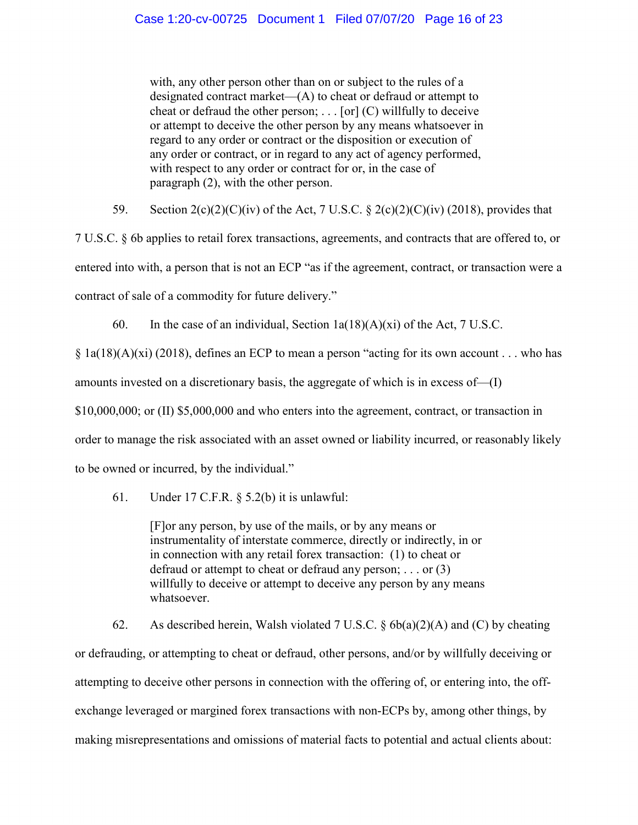with, any other person other than on or subject to the rules of a designated contract market—(A) to cheat or defraud or attempt to cheat or defraud the other person;  $\ldots$  [or] (C) willfully to deceive or attempt to deceive the other person by any means whatsoever in regard to any order or contract or the disposition or execution of any order or contract, or in regard to any act of agency performed, with respect to any order or contract for or, in the case of paragraph (2), with the other person.

59. Section  $2(c)(2)(C)(iv)$  of the Act, 7 U.S.C. §  $2(c)(2)(C)(iv)$  (2018), provides that

7 U.S.C. § 6b applies to retail forex transactions, agreements, and contracts that are offered to, or entered into with, a person that is not an ECP "as if the agreement, contract, or transaction were a contract of sale of a commodity for future delivery."

60. In the case of an individual, Section  $1a(18)(A)(xi)$  of the Act, 7 U.S.C.

 $\S$  1a(18)(A)(xi) (2018), defines an ECP to mean a person "acting for its own account . . . who has amounts invested on a discretionary basis, the aggregate of which is in excess of—(I) \$10,000,000; or (II) \$5,000,000 and who enters into the agreement, contract, or transaction in

order to manage the risk associated with an asset owned or liability incurred, or reasonably likely

to be owned or incurred, by the individual."

61. Under 17 C.F.R. § 5.2(b) it is unlawful:

[F]or any person, by use of the mails, or by any means or instrumentality of interstate commerce, directly or indirectly, in or in connection with any retail forex transaction: (1) to cheat or defraud or attempt to cheat or defraud any person; . . . or (3) willfully to deceive or attempt to deceive any person by any means whatsoever.

62. As described herein, Walsh violated 7 U.S.C.  $\S$  6b(a)(2)(A) and (C) by cheating or defrauding, or attempting to cheat or defraud, other persons, and/or by willfully deceiving or attempting to deceive other persons in connection with the offering of, or entering into, the offexchange leveraged or margined forex transactions with non-ECPs by, among other things, by making misrepresentations and omissions of material facts to potential and actual clients about: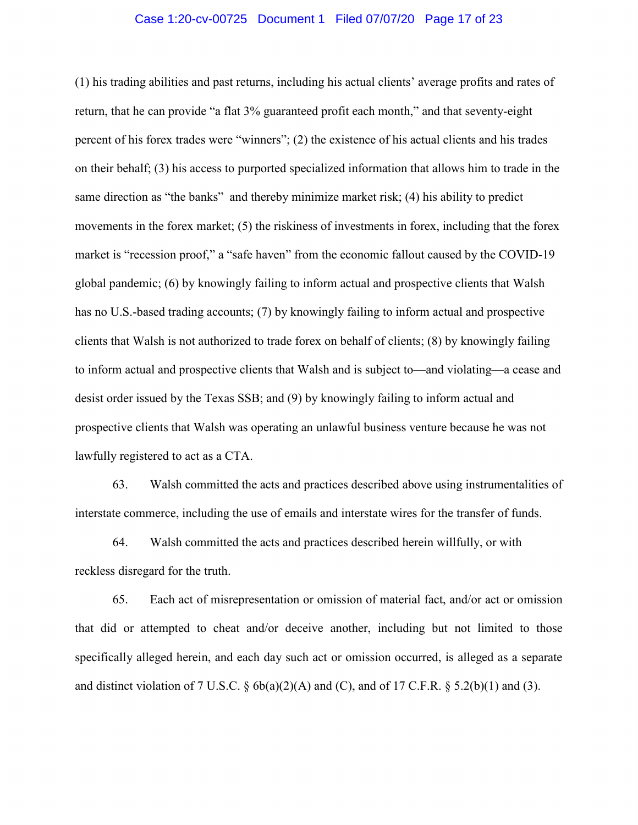## Case 1:20-cv-00725 Document 1 Filed 07/07/20 Page 17 of 23

(1) his trading abilities and past returns, including his actual clients' average profits and rates of return, that he can provide "a flat 3% guaranteed profit each month," and that seventy-eight percent of his forex trades were "winners"; (2) the existence of his actual clients and his trades on their behalf; (3) his access to purported specialized information that allows him to trade in the same direction as "the banks" and thereby minimize market risk; (4) his ability to predict movements in the forex market; (5) the riskiness of investments in forex, including that the forex market is "recession proof," a "safe haven" from the economic fallout caused by the COVID-19 global pandemic; (6) by knowingly failing to inform actual and prospective clients that Walsh has no U.S.-based trading accounts; (7) by knowingly failing to inform actual and prospective clients that Walsh is not authorized to trade forex on behalf of clients; (8) by knowingly failing to inform actual and prospective clients that Walsh and is subject to—and violating—a cease and desist order issued by the Texas SSB; and (9) by knowingly failing to inform actual and prospective clients that Walsh was operating an unlawful business venture because he was not lawfully registered to act as a CTA.

63. Walsh committed the acts and practices described above using instrumentalities of interstate commerce, including the use of emails and interstate wires for the transfer of funds.

64. Walsh committed the acts and practices described herein willfully, or with reckless disregard for the truth.

65. Each act of misrepresentation or omission of material fact, and/or act or omission that did or attempted to cheat and/or deceive another, including but not limited to those specifically alleged herein, and each day such act or omission occurred, is alleged as a separate and distinct violation of 7 U.S.C.  $\S$  6b(a)(2)(A) and (C), and of 17 C.F.R.  $\S$  5.2(b)(1) and (3).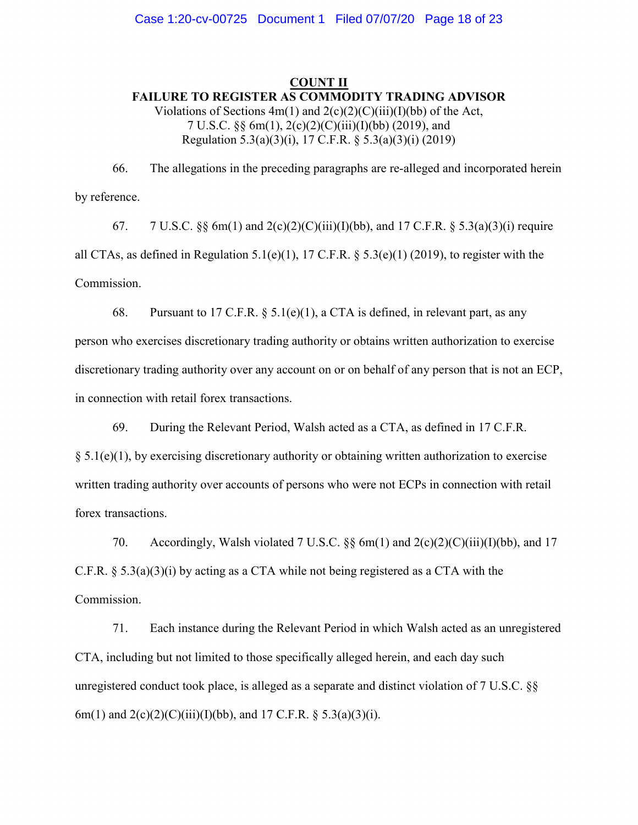# **COUNT II FAILURE TO REGISTER AS COMMODITY TRADING ADVISOR** Violations of Sections  $4m(1)$  and  $2(c)(2)(C)(iii)(I)(bb)$  of the Act, 7 U.S.C. §§ 6m(1), 2(c)(2)(C)(iii)(I)(bb) (2019), and Regulation 5.3(a)(3)(i), 17 C.F.R. § 5.3(a)(3)(i) (2019)

66. The allegations in the preceding paragraphs are re-alleged and incorporated herein by reference.

67. 7 U.S.C.  $\&$  6 m(1) and 2(c)(2)(C)(iii)(I)(bb), and 17 C.F.R.  $\&$  5.3(a)(3)(i) require all CTAs, as defined in Regulation 5.1(e)(1), 17 C.F.R.  $\S$  5.3(e)(1) (2019), to register with the Commission.

68. Pursuant to 17 C.F.R.  $\S$  5.1(e)(1), a CTA is defined, in relevant part, as any person who exercises discretionary trading authority or obtains written authorization to exercise discretionary trading authority over any account on or on behalf of any person that is not an ECP, in connection with retail forex transactions.

69. During the Relevant Period, Walsh acted as a CTA, as defined in 17 C.F.R.

 $\S 5.1(e)(1)$ , by exercising discretionary authority or obtaining written authorization to exercise written trading authority over accounts of persons who were not ECPs in connection with retail forex transactions.

70. Accordingly, Walsh violated 7 U.S.C. §§ 6m(1) and 2(c)(2)(C)(iii)(I)(bb), and 17 C.F.R. § 5.3(a)(3)(i) by acting as a CTA while not being registered as a CTA with the Commission.

71. Each instance during the Relevant Period in which Walsh acted as an unregistered CTA, including but not limited to those specifically alleged herein, and each day such unregistered conduct took place, is alleged as a separate and distinct violation of 7 U.S.C. §§ 6m(1) and 2(c)(2)(C)(iii)(I)(bb), and 17 C.F.R. § 5.3(a)(3)(i).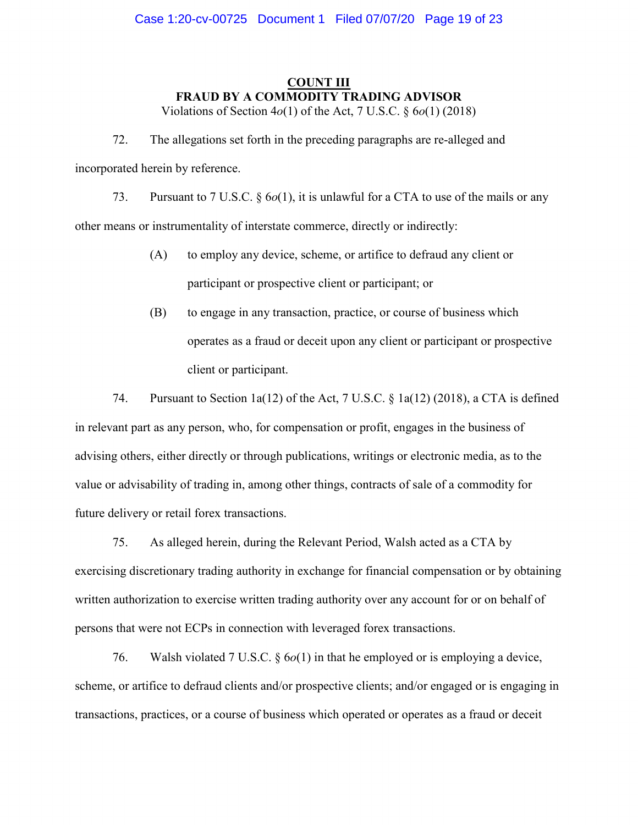# **COUNT III FRAUD BY A COMMODITY TRADING ADVISOR**

Violations of Section 4*o*(1) of the Act, 7 U.S.C. § 6*o*(1) (2018)

72. The allegations set forth in the preceding paragraphs are re-alleged and incorporated herein by reference.

73. Pursuant to 7 U.S.C. § 6*o*(1), it is unlawful for a CTA to use of the mails or any other means or instrumentality of interstate commerce, directly or indirectly:

- (A) to employ any device, scheme, or artifice to defraud any client or participant or prospective client or participant; or
- (B) to engage in any transaction, practice, or course of business which operates as a fraud or deceit upon any client or participant or prospective client or participant.

74. Pursuant to Section 1a(12) of the Act, 7 U.S.C. § 1a(12) (2018), a CTA is defined in relevant part as any person, who, for compensation or profit, engages in the business of advising others, either directly or through publications, writings or electronic media, as to the value or advisability of trading in, among other things, contracts of sale of a commodity for future delivery or retail forex transactions.

75. As alleged herein, during the Relevant Period, Walsh acted as a CTA by exercising discretionary trading authority in exchange for financial compensation or by obtaining written authorization to exercise written trading authority over any account for or on behalf of persons that were not ECPs in connection with leveraged forex transactions.

76. Walsh violated 7 U.S.C. § 6*o*(1) in that he employed or is employing a device, scheme, or artifice to defraud clients and/or prospective clients; and/or engaged or is engaging in transactions, practices, or a course of business which operated or operates as a fraud or deceit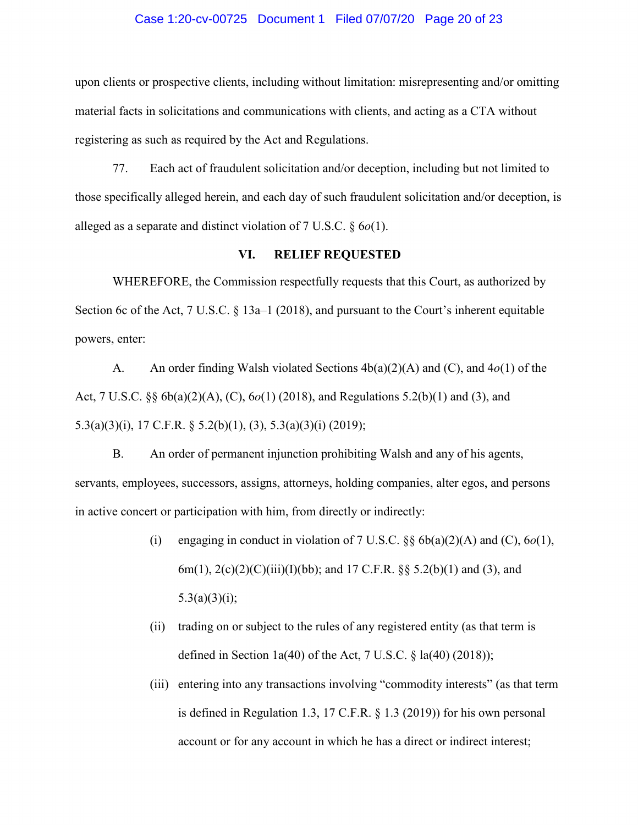#### Case 1:20-cv-00725 Document 1 Filed 07/07/20 Page 20 of 23

upon clients or prospective clients, including without limitation: misrepresenting and/or omitting material facts in solicitations and communications with clients, and acting as a CTA without registering as such as required by the Act and Regulations.

77. Each act of fraudulent solicitation and/or deception, including but not limited to those specifically alleged herein, and each day of such fraudulent solicitation and/or deception, is alleged as a separate and distinct violation of 7 U.S.C. § 6*o*(1).

# **VI. RELIEF REQUESTED**

WHEREFORE, the Commission respectfully requests that this Court, as authorized by Section 6c of the Act, 7 U.S.C. § 13a–1 (2018), and pursuant to the Court's inherent equitable powers, enter:

A. An order finding Walsh violated Sections 4b(a)(2)(A) and (C), and 4*o*(1) of the Act, 7 U.S.C. §§ 6b(a)(2)(A), (C), 6*o*(1) (2018), and Regulations 5.2(b)(1) and (3), and 5.3(a)(3)(i), 17 C.F.R. § 5.2(b)(1), (3), 5.3(a)(3)(i) (2019);

B. An order of permanent injunction prohibiting Walsh and any of his agents, servants, employees, successors, assigns, attorneys, holding companies, alter egos, and persons in active concert or participation with him, from directly or indirectly:

- (i) engaging in conduct in violation of  $7 \text{ U.S.C. }$   $\frac{8}{9} \cdot 6b(a)(2)(A)$  and (C),  $6o(1)$ , 6m(1),  $2(c)(2)(C)(iii)(I)(bb);$  and 17 C.F.R. §§ 5.2(b)(1) and (3), and  $5.3(a)(3)(i);$
- (ii) trading on or subject to the rules of any registered entity (as that term is defined in Section 1a(40) of the Act, 7 U.S.C.  $\S$  la(40) (2018));
- (iii) entering into any transactions involving "commodity interests" (as that term is defined in Regulation 1.3, 17 C.F.R. § 1.3 (2019)) for his own personal account or for any account in which he has a direct or indirect interest;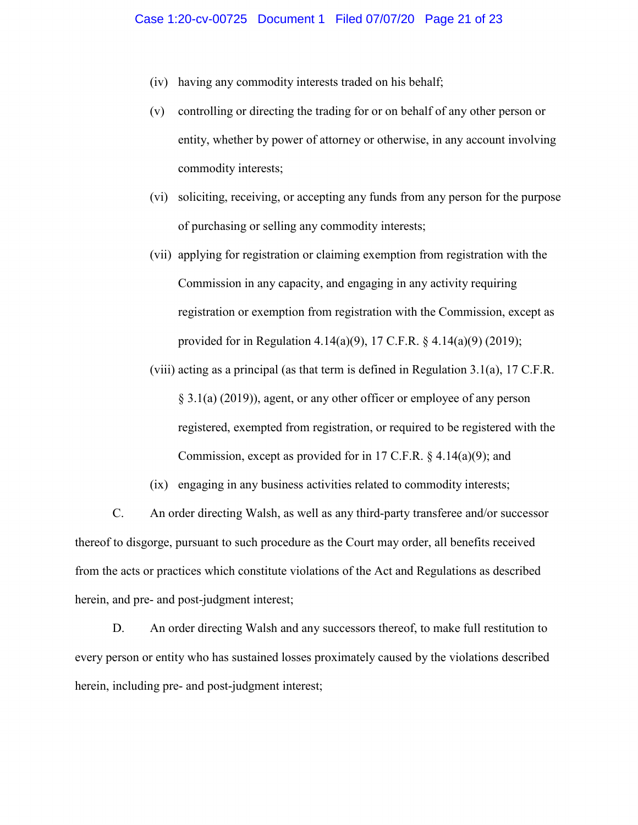- (iv) having any commodity interests traded on his behalf;
- (v) controlling or directing the trading for or on behalf of any other person or entity, whether by power of attorney or otherwise, in any account involving commodity interests;
- (vi) soliciting, receiving, or accepting any funds from any person for the purpose of purchasing or selling any commodity interests;
- (vii) applying for registration or claiming exemption from registration with the Commission in any capacity, and engaging in any activity requiring registration or exemption from registration with the Commission, except as provided for in Regulation 4.14(a)(9), 17 C.F.R. § 4.14(a)(9) (2019);
- (viii) acting as a principal (as that term is defined in Regulation 3.1(a), 17 C.F.R. § 3.1(a) (2019)), agent, or any other officer or employee of any person registered, exempted from registration, or required to be registered with the Commission, except as provided for in 17 C.F.R. § 4.14(a)(9); and
- (ix) engaging in any business activities related to commodity interests;

C. An order directing Walsh, as well as any third-party transferee and/or successor thereof to disgorge, pursuant to such procedure as the Court may order, all benefits received from the acts or practices which constitute violations of the Act and Regulations as described herein, and pre- and post-judgment interest;

D. An order directing Walsh and any successors thereof, to make full restitution to every person or entity who has sustained losses proximately caused by the violations described herein, including pre- and post-judgment interest;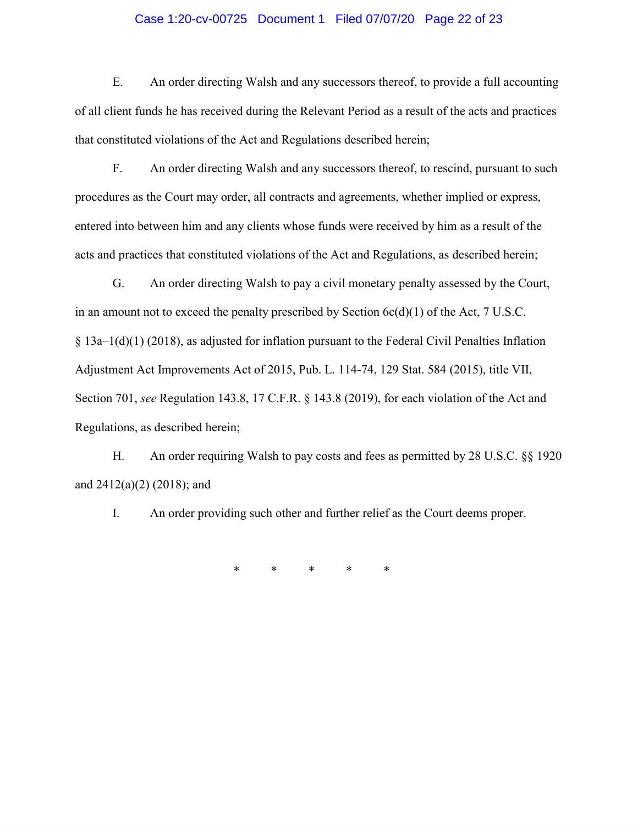# Case 1:20-cv-00725 Document 1 Filed 07/07/20 Page 22 of 23

E. An order directing Walsh and any successors thereof, to provide a full accounting of all client funds he has received during the Relevant Period as a result of the acts and practices that constituted violations of the Act and Regulations described herein;

F. An order directing Walsh and any successors thereof, to rescind, pursuant to such procedures as the Court may order, all contracts and agreements, whether implied or express, entered into between him and any clients whose funds were received by him as a result of the acts and practices that constituted violations of the Act and Regulations, as described herein;

G. An order directing Walsh to pay a civil monetary penalty assessed by the Court, in an amount not to exceed the penalty prescribed by Section 6c(d)(1) of the Act, 7 U.S.C.  $§$  13a–1(d)(1) (2018), as adjusted for inflation pursuant to the Federal Civil Penalties Inflation Adjustment Act Improvements Act of 2015, Pub. L. 114-74, 129 Stat. 584 (2015), title VII, Section 701, *see* Regulation 143.8, 17 C.F.R. § 143.8 (2019), for each violation of the Act and Regulations, as described herein;

H. An order requiring Walsh to pay costs and fees as permitted by 28 U.S.C. §§ 1920 and 2412(a)(2) (2018); and

I. An order providing such other and further relief as the Court deems proper.

\* \* \* \* \*